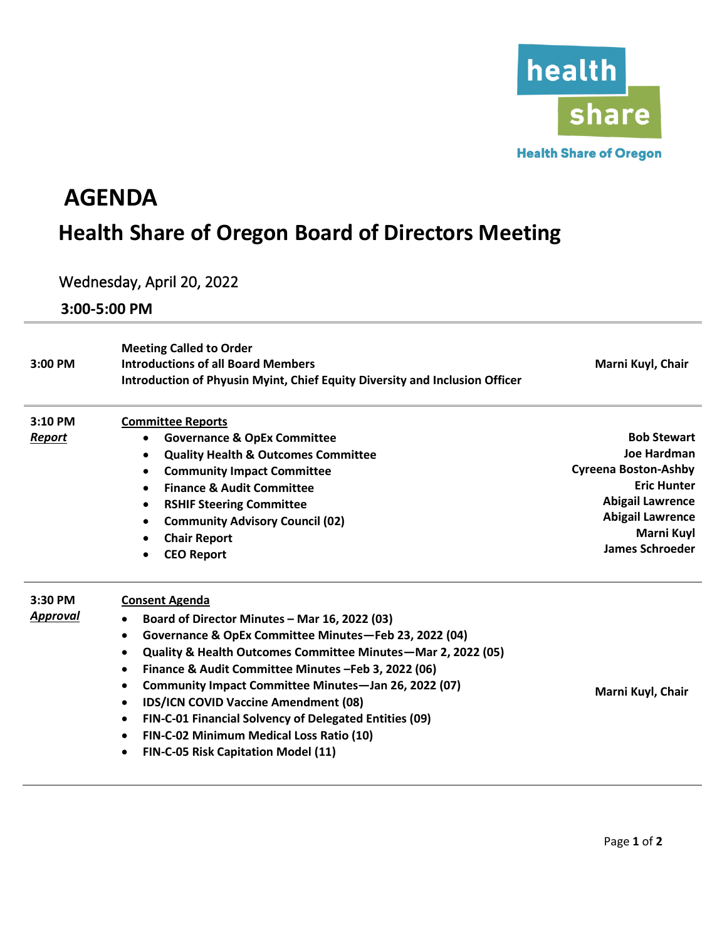

## **AGENDA Health Share of Oregon Board of Directors Meeting**

## Wednesday, April 20, 2022

**3:00-5:00 PM**

| 3:00 PM             | <b>Meeting Called to Order</b><br><b>Introductions of all Board Members</b><br>Introduction of Phyusin Myint, Chief Equity Diversity and Inclusion Officer                                                                                                                                                                                                                                                                                                                                                                                                                                               | Marni Kuyl, Chair                                                                                                                                                                           |
|---------------------|----------------------------------------------------------------------------------------------------------------------------------------------------------------------------------------------------------------------------------------------------------------------------------------------------------------------------------------------------------------------------------------------------------------------------------------------------------------------------------------------------------------------------------------------------------------------------------------------------------|---------------------------------------------------------------------------------------------------------------------------------------------------------------------------------------------|
| 3:10 PM<br>Report   | <b>Committee Reports</b><br><b>Governance &amp; OpEx Committee</b><br>$\bullet$<br><b>Quality Health &amp; Outcomes Committee</b><br>$\bullet$<br><b>Community Impact Committee</b><br>$\bullet$<br><b>Finance &amp; Audit Committee</b><br>$\bullet$<br><b>RSHIF Steering Committee</b><br>$\bullet$<br><b>Community Advisory Council (02)</b><br>$\bullet$<br><b>Chair Report</b><br>٠<br><b>CEO Report</b><br>$\bullet$                                                                                                                                                                               | <b>Bob Stewart</b><br><b>Joe Hardman</b><br><b>Cyreena Boston-Ashby</b><br><b>Eric Hunter</b><br><b>Abigail Lawrence</b><br><b>Abigail Lawrence</b><br>Marni Kuyl<br><b>James Schroeder</b> |
| 3:30 PM<br>Approval | <b>Consent Agenda</b><br>Board of Director Minutes - Mar 16, 2022 (03)<br>$\bullet$<br>Governance & OpEx Committee Minutes-Feb 23, 2022 (04)<br>٠<br>Quality & Health Outcomes Committee Minutes-Mar 2, 2022 (05)<br>٠<br>Finance & Audit Committee Minutes - Feb 3, 2022 (06)<br>$\bullet$<br>Community Impact Committee Minutes-Jan 26, 2022 (07)<br>$\bullet$<br><b>IDS/ICN COVID Vaccine Amendment (08)</b><br>$\bullet$<br>FIN-C-01 Financial Solvency of Delegated Entities (09)<br>$\bullet$<br>FIN-C-02 Minimum Medical Loss Ratio (10)<br>$\bullet$<br>FIN-C-05 Risk Capitation Model (11)<br>٠ | Marni Kuyl, Chair                                                                                                                                                                           |